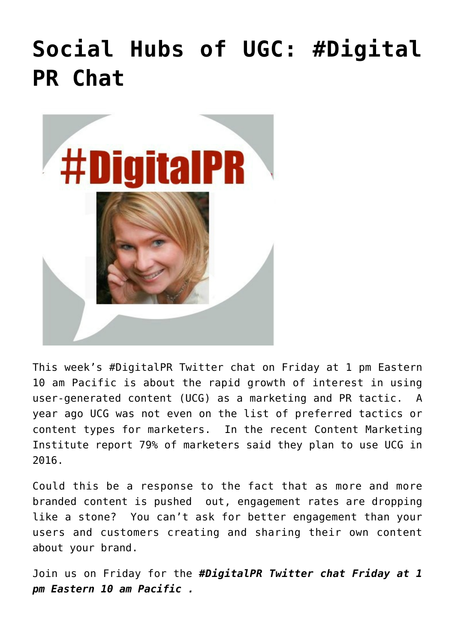## **[Social Hubs of UGC: #Digital](https://www.commpro.biz/social-hubs-of-ugc-digital-pr-chat/) [PR Chat](https://www.commpro.biz/social-hubs-of-ugc-digital-pr-chat/)**



This week's #DigitalPR Twitter chat on Friday at 1 pm Eastern 10 am Pacific is about the rapid growth of interest in using user-generated content (UCG) as a marketing and PR tactic. A year ago UCG was not even on the list of preferred tactics or content types for marketers. In the recent Content Marketing Institute report 79% of marketers said they plan to use UCG in 2016.

Could this be a response to the fact that as more and more branded content is pushed out, engagement rates are dropping like a stone? You can't ask for better engagement than your users and customers creating and sharing their own content about your brand.

Join us on Friday for the *#DigitalPR Twitter chat Friday at 1 pm Eastern 10 am Pacific .*